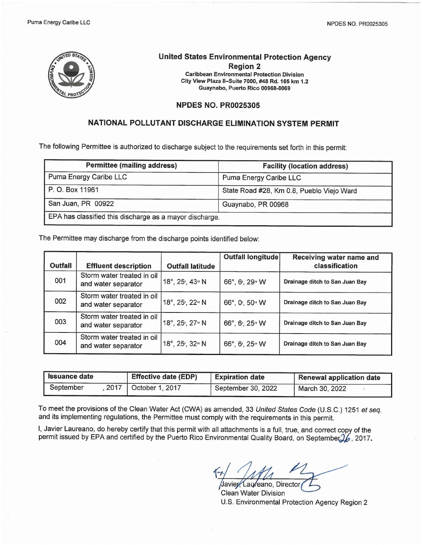

# **United States Environmental Protection Agency Region 2**

Caribbean Environmental Protection Division City View Plaza II-Suite 7000, #48 Rd. 165 km 1.2 Guaynabo, Puerto Rico 00968-8069

### **NPDES NO. PR0025305**

## **NATIONAL POLLUTANT DISCHARGE ELIMINATION SYSTEM PERMIT**

The following Permittee is authorized to discharge subject to the requirements set forth in this permit:

| <b>Permittee (mailing address)</b>                      | <b>Facility (location address)</b>        |
|---------------------------------------------------------|-------------------------------------------|
| Puma Energy Caribe LLC                                  | Puma Energy Caribe LLC                    |
| P.O. Box 11961                                          | State Road #28, Km 0.8, Pueblo Viejo Ward |
| San Juan, PR 00922                                      | Guaynabo, PR 00968                        |
| EPA has classified this discharge as a mayor discharge. |                                           |

The Permittee may discharge from the discharge points identified below:

|                |                                                   |                         | <b>Outfall longitude</b> | Receiving water name and       |
|----------------|---------------------------------------------------|-------------------------|--------------------------|--------------------------------|
| <b>Outfall</b> | <b>Effluent description</b>                       | <b>Outfall latitude</b> |                          | classification                 |
| 001            | Storm water treated in oil<br>and water separator | 18°, 25', 43" N         | 66°, 6', 29" W           | Drainage ditch to San Juan Bay |
| 002            | Storm water treated in oil<br>and water separator | 18°, 25', 22" N         | 66°, 0', 50" W           | Drainage ditch to San Juan Bay |
| 003            | Storm water treated in oil<br>and water separator | 18°, 25', 27" N         | 66°, 6', 25" W           | Drainage ditch to San Juan Bay |
| 004            | Storm water treated in oil<br>and water separator | 18°, 25', 32" N         | 66°, 6', 25" W           | Drainage ditch to San Juan Bay |

| <b>Issuance date</b>                |  | Effective date (EDP) | <b>Expiration date</b> | <b>Renewal application date</b> |  |  |
|-------------------------------------|--|----------------------|------------------------|---------------------------------|--|--|
| 2017   October 1, 2017<br>September |  |                      | September 30, 2022     | March 30, 2022                  |  |  |

To meet the provisions of the Clean Water Act (CWA) as amended, 33 *United States Code* (U.S.C.) 1251 *et seq.* and its implementing regulations, the Permittee must comply with the requirements in this permit.

I, Javier Laureano, do hereby certify that this permit with all attachments is a full, true, and correct copy of the permit issued by EPA and certified by the Puerto Rico Environmental Quality Board, on September  $2/6$ , 2017.

Javier Laureano, Director **Clean Water Division** U.S. Environmental Protection Agency Region 2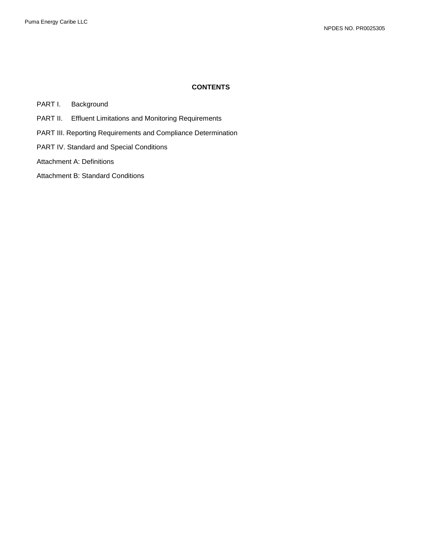## **CONTENTS**

PART I. Background

- PART II. Effluent Limitations and Monitoring Requirements
- PART III. Reporting Requirements and Compliance Determination
- PART IV. Standard and Special Conditions
- Attachment A: Definitions
- Attachment B: Standard Conditions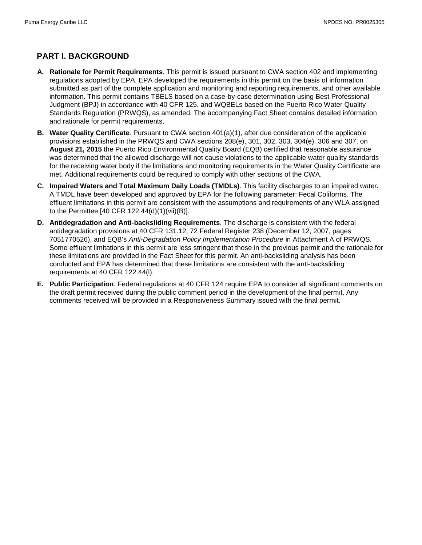## **PART I. BACKGROUND**

- **A. Rationale for Permit Requirements**. This permit is issued pursuant to CWA section 402 and implementing regulations adopted by EPA. EPA developed the requirements in this permit on the basis of information submitted as part of the complete application and monitoring and reporting requirements, and other available information. This permit contains TBELS based on a case-by-case determination using Best Professional Judgment (BPJ) in accordance with 40 CFR 125. and WQBELs based on the Puerto Rico Water Quality Standards Regulation (PRWQS), as amended. The accompanying Fact Sheet contains detailed information and rationale for permit requirements.
- **B. Water Quality Certificate**. Pursuant to CWA section 401(a)(1), after due consideration of the applicable provisions established in the PRWQS and CWA sections 208(e), 301, 302, 303, 304(e), 306 and 307, on **August 21, 2015** the Puerto Rico Environmental Quality Board (EQB) certified that reasonable assurance was determined that the allowed discharge will not cause violations to the applicable water quality standards for the receiving water body if the limitations and monitoring requirements in the Water Quality Certificate are met. Additional requirements could be required to comply with other sections of the CWA.
- **C. Impaired Waters and Total Maximum Daily Loads (TMDLs)**. This facility discharges to an impaired water**.** A TMDL have been developed and approved by EPA for the following parameter: Fecal Coliforms. The effluent limitations in this permit are consistent with the assumptions and requirements of any WLA assigned to the Permittee [40 CFR 122.44(d)(1)(vii)(B)].
- **D. Antidegradation and Anti-backsliding Requirements**. The discharge is consistent with the federal antidegradation provisions at 40 CFR 131.12, 72 Federal Register 238 (December 12, 2007, pages 7051770526), and EQB's *Anti-Degradation Policy Implementation Procedure* in Attachment A of PRWQS. Some effluent limitations in this permit are less stringent that those in the previous permit and the rationale for these limitations are provided in the Fact Sheet for this permit. An anti-backsliding analysis has been conducted and EPA has determined that these limitations are consistent with the anti-backsliding requirements at 40 CFR 122.44(l).
- **E. Public Participation**. Federal regulations at 40 CFR 124 require EPA to consider all significant comments on the draft permit received during the public comment period in the development of the final permit. Any comments received will be provided in a Responsiveness Summary issued with the final permit.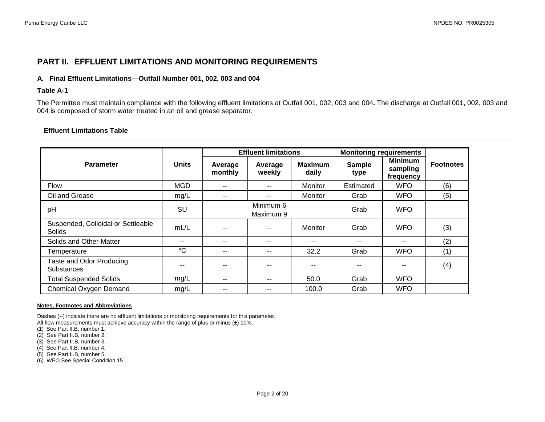## **PART II. EFFLUENT LIMITATIONS AND MONITORING REQUIREMENTS**

### **A. Final Effluent Limitations—Outfall Number 001, 002, 003 and 004**

#### **Table A-1**

The Permittee must maintain compliance with the following effluent limitations at Outfall 001, 002, 003 and 004**.** The discharge at Outfall 001, 002, 003 and 004 is composed of storm water treated in an oil and grease separator.

### **Effluent Limitations Table**

|                                              |              | <b>Effluent limitations</b> |                        |                         | <b>Monitoring requirements</b> |                                         |                  |
|----------------------------------------------|--------------|-----------------------------|------------------------|-------------------------|--------------------------------|-----------------------------------------|------------------|
| <b>Parameter</b>                             | <b>Units</b> | Average<br>monthly          | Average<br>weekly      | <b>Maximum</b><br>daily | <b>Sample</b><br>type          | <b>Minimum</b><br>sampling<br>frequency | <b>Footnotes</b> |
| Flow                                         | <b>MGD</b>   | --                          |                        | <b>Monitor</b>          | Estimated                      | <b>WFO</b>                              | (6)              |
| Oil and Grease                               | mg/L         | --                          | $- -$                  | Monitor                 | Grab                           | <b>WFO</b>                              | (5)              |
| pH                                           | SU           |                             | Minimum 6<br>Maximum 9 |                         | Grab                           | <b>WFO</b>                              |                  |
| Suspended, Colloidal or Settleable<br>Solids | mL/L         | --                          |                        | <b>Monitor</b>          | Grab                           | <b>WFO</b>                              | (3)              |
| Solids and Other Matter                      | $- -$        | --                          | --                     | $-$                     | --                             | $- -$                                   | (2)              |
| Temperature                                  | $^{\circ}C$  | --                          | --                     | 32.2                    | Grab                           | <b>WFO</b>                              | (1)              |
| Taste and Odor Producing<br>Substances       | --           | --                          |                        | $-$                     | --                             | $-$                                     | (4)              |
| <b>Total Suspended Solids</b>                | mg/L         | --                          |                        | 50.0                    | Grab                           | <b>WFO</b>                              |                  |
| Chemical Oxygen Demand                       | mg/L         | --                          |                        | 100.0                   | Grab                           | <b>WFO</b>                              |                  |

#### **Notes, Footnotes and Abbreviations**

Dashes (--) indicate there are no effluent limitations or monitoring requirements for this parameter. All flow measurements must achieve accuracy within the range of plus or minus  $(\pm)$  10%.

(1) See Part II.B, number 1.

(2) See Part II.B, number 2.

(3) See Part II.B, number 3.

(4) See Part II.B, number 4.

(5) See Part II.B, number 5.

(6) WFO See Special Condition 15.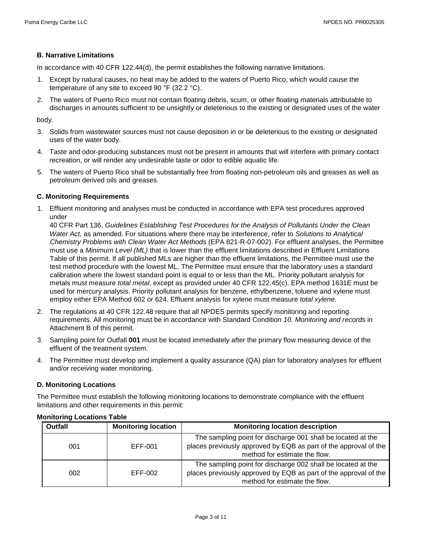## **B. Narrative Limitations**

In accordance with 40 CFR 122.44(d), the permit establishes the following narrative limitations.

- 1. Except by natural causes, no heat may be added to the waters of Puerto Rico, which would cause the temperature of any site to exceed 90 °F (32.2 °C).
- 2. The waters of Puerto Rico must not contain floating debris, scum, or other floating materials attributable to discharges in amounts sufficient to be unsightly or deleterious to the existing or designated uses of the water

body.

- 3. Solids from wastewater sources must not cause deposition in or be deleterious to the existing or designated uses of the water body.
- 4. Taste and odor-producing substances must not be present in amounts that will interfere with primary contact recreation, or will render any undesirable taste or odor to edible aquatic life.
- 5. The waters of Puerto Rico shall be substantially free from floating non-petroleum oils and greases as well as petroleum derived oils and greases.

## **C. Monitoring Requirements**

1. Effluent monitoring and analyses must be conducted in accordance with EPA test procedures approved under

40 CFR Part 136, *Guidelines Establishing Test Procedures for the Analysis of Pollutants Under the Clean Water Act,* as amended. For situations where there may be interference, refer to *Solutions to Analytical Chemistry Problems with Clean Water Act Methods* (EPA 821-R-07-002). For effluent analyses, the Permittee must use a *Minimum Level (ML)* that is lower than the effluent limitations described in Effluent Limitations Table of this permit. If all published MLs are higher than the effluent limitations, the Permittee must use the test method procedure with the lowest ML. The Permittee must ensure that the laboratory uses a standard calibration where the lowest standard point is equal to or less than the ML. Priority pollutant analysis for metals must measure *total metal*, except as provided under 40 CFR 122.45(c). EPA method 1631E must be used for mercury analysis. Priority pollutant analysis for benzene, ethylbenzene, toluene and xylene must employ either EPA Method 602 or 624. Effluent analysis for xylene must measure *total xylene*.

- 2. The regulations at 40 CFR 122.48 require that all NPDES permits specify monitoring and reporting requirements. All monitoring must be in accordance with Standard Condition *10. Monitoring and records* in Attachment B of this permit.
- 3. Sampling point for Outfall **001** must be located immediately after the primary flow measuring device of the effluent of the treatment system.
- 4. The Permittee must develop and implement a quality assurance (QA) plan for laboratory analyses for effluent and/or receiving water monitoring.

## **D. Monitoring Locations**

The Permittee must establish the following monitoring locations to demonstrate compliance with the effluent limitations and other requirements in this permit:

| <b>Outfall</b> | <b>Monitoring location</b> | <b>Monitoring location description</b>                                                                                                                            |
|----------------|----------------------------|-------------------------------------------------------------------------------------------------------------------------------------------------------------------|
| 001            | EFF-001                    | The sampling point for discharge 001 shall be located at the<br>places previously approved by EQB as part of the approval of the<br>method for estimate the flow. |
| 002            | EFF-002                    | The sampling point for discharge 002 shall be located at the<br>places previously approved by EQB as part of the approval of the<br>method for estimate the flow. |

### **Monitoring Locations Table**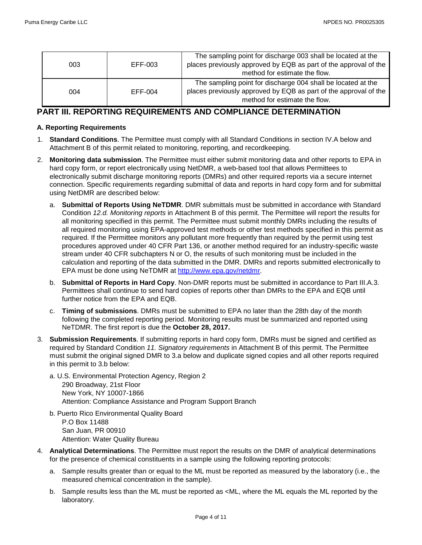| 003 | EFF-003 | The sampling point for discharge 003 shall be located at the<br>places previously approved by EQB as part of the approval of the<br>method for estimate the flow. |
|-----|---------|-------------------------------------------------------------------------------------------------------------------------------------------------------------------|
| 004 | EFF-004 | The sampling point for discharge 004 shall be located at the<br>places previously approved by EQB as part of the approval of the<br>method for estimate the flow. |

## **PART III. REPORTING REQUIREMENTS AND COMPLIANCE DETERMINATION**

### **A. Reporting Requirements**

- 1. **Standard Conditions**. The Permittee must comply with all Standard Conditions in section IV.A below and Attachment B of this permit related to monitoring, reporting, and recordkeeping.
- 2. **Monitoring data submission**. The Permittee must either submit monitoring data and other reports to EPA in hard copy form, or report electronically using NetDMR, a web-based tool that allows Permittees to electronically submit discharge monitoring reports (DMRs) and other required reports via a secure internet connection. Specific requirements regarding submittal of data and reports in hard copy form and for submittal using NetDMR are described below:
	- a. **Submittal of Reports Using NeTDMR**. DMR submittals must be submitted in accordance with Standard Condition *12.d. Monitoring reports* in Attachment B of this permit. The Permittee will report the results for all monitoring specified in this permit. The Permittee must submit monthly DMRs including the results of all required monitoring using EPA-approved test methods or other test methods specified in this permit as required. If the Permittee monitors any pollutant more frequently than required by the permit using test procedures approved under 40 CFR Part 136, or another method required for an industry-specific waste stream under 40 CFR subchapters N or O, the results of such monitoring must be included in the calculation and reporting of the data submitted in the DMR. DMRs and reports submitted electronically to EPA must be done using NeTDMR at [http://www.epa.gov/netdmr.](http://www.epa.gov/netdmr)
	- b. **Submittal of Reports in Hard Copy**. Non-DMR reports must be submitted in accordance to Part III.A.3. Permittees shall continue to send hard copies of reports other than DMRs to the EPA and EQB until further notice from the EPA and EQB.
	- c. **Timing of submissions**. DMRs must be submitted to EPA no later than the 28th day of the month following the completed reporting period. Monitoring results must be summarized and reported using NeTDMR. The first report is due the **October 28, 2017.**
- 3. **Submission Requirements**. If submitting reports in hard copy form, DMRs must be signed and certified as required by Standard Condition *11. Signatory requirements* in Attachment B of this permit. The Permittee must submit the original signed DMR to 3.a below and duplicate signed copies and all other reports required in this permit to 3.b below:
	- a. U.S. Environmental Protection Agency, Region 2 290 Broadway, 21st Floor New York, NY 10007-1866 Attention: Compliance Assistance and Program Support Branch
	- b. Puerto Rico Environmental Quality Board P.O Box 11488 San Juan, PR 00910 Attention: Water Quality Bureau
- 4. **Analytical Determinations**. The Permittee must report the results on the DMR of analytical determinations for the presence of chemical constituents in a sample using the following reporting protocols:
	- a. Sample results greater than or equal to the ML must be reported as measured by the laboratory (i.e., the measured chemical concentration in the sample).
	- b. Sample results less than the ML must be reported as <ML, where the ML equals the ML reported by the laboratory.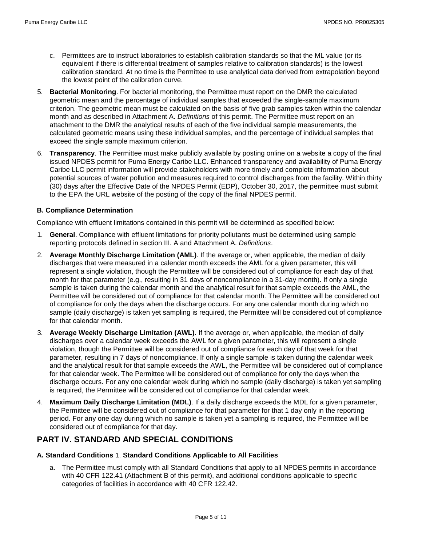- c. Permittees are to instruct laboratories to establish calibration standards so that the ML value (or its equivalent if there is differential treatment of samples relative to calibration standards) is the lowest calibration standard. At no time is the Permittee to use analytical data derived from extrapolation beyond the lowest point of the calibration curve.
- 5. **Bacterial Monitoring**. For bacterial monitoring, the Permittee must report on the DMR the calculated geometric mean and the percentage of individual samples that exceeded the single-sample maximum criterion. The geometric mean must be calculated on the basis of five grab samples taken within the calendar month and as described in Attachment A. *Definitions* of this permit. The Permittee must report on an attachment to the DMR the analytical results of each of the five individual sample measurements, the calculated geometric means using these individual samples, and the percentage of individual samples that exceed the single sample maximum criterion.
- 6. **Transparency**. The Permittee must make publicly available by posting online on a website a copy of the final issued NPDES permit for Puma Energy Caribe LLC. Enhanced transparency and availability of Puma Energy Caribe LLC permit information will provide stakeholders with more timely and complete information about potential sources of water pollution and measures required to control discharges from the facility. Within thirty (30) days after the Effective Date of the NPDES Permit (EDP), October 30, 2017, the permittee must submit to the EPA the URL website of the posting of the copy of the final NPDES permit.

### **B. Compliance Determination**

Compliance with effluent limitations contained in this permit will be determined as specified below:

- 1. **General**. Compliance with effluent limitations for priority pollutants must be determined using sample reporting protocols defined in section III. A and Attachment A. *Definitions*.
- 2. **Average Monthly Discharge Limitation (AML)**. If the average or, when applicable, the median of daily discharges that were measured in a calendar month exceeds the AML for a given parameter, this will represent a single violation, though the Permittee will be considered out of compliance for each day of that month for that parameter (e.g., resulting in 31 days of noncompliance in a 31-day month). If only a single sample is taken during the calendar month and the analytical result for that sample exceeds the AML, the Permittee will be considered out of compliance for that calendar month. The Permittee will be considered out of compliance for only the days when the discharge occurs. For any one calendar month during which no sample (daily discharge) is taken yet sampling is required, the Permittee will be considered out of compliance for that calendar month.
- 3. **Average Weekly Discharge Limitation (AWL)**. If the average or, when applicable, the median of daily discharges over a calendar week exceeds the AWL for a given parameter, this will represent a single violation, though the Permittee will be considered out of compliance for each day of that week for that parameter, resulting in 7 days of noncompliance. If only a single sample is taken during the calendar week and the analytical result for that sample exceeds the AWL, the Permittee will be considered out of compliance for that calendar week. The Permittee will be considered out of compliance for only the days when the discharge occurs. For any one calendar week during which no sample (daily discharge) is taken yet sampling is required, the Permittee will be considered out of compliance for that calendar week.
- 4. **Maximum Daily Discharge Limitation (MDL)**. If a daily discharge exceeds the MDL for a given parameter, the Permittee will be considered out of compliance for that parameter for that 1 day only in the reporting period. For any one day during which no sample is taken yet a sampling is required, the Permittee will be considered out of compliance for that day.

## **PART IV. STANDARD AND SPECIAL CONDITIONS**

### **A. Standard Conditions** 1. **Standard Conditions Applicable to All Facilities**

a. The Permittee must comply with all Standard Conditions that apply to all NPDES permits in accordance with 40 CFR 122.41 (Attachment B of this permit), and additional conditions applicable to specific categories of facilities in accordance with 40 CFR 122.42.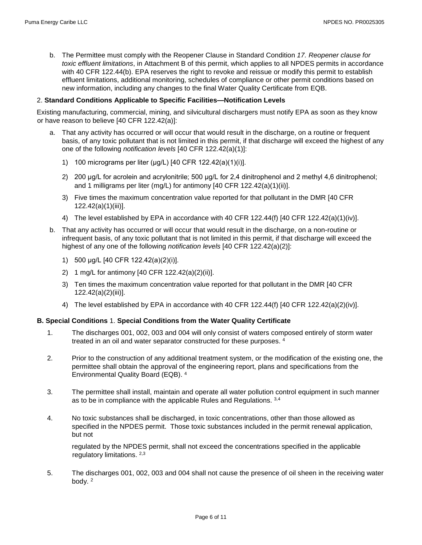b. The Permittee must comply with the Reopener Clause in Standard Condition *17. Reopener clause for toxic effluent limitations*, in Attachment B of this permit, which applies to all NPDES permits in accordance with 40 CFR 122.44(b). EPA reserves the right to revoke and reissue or modify this permit to establish effluent limitations, additional monitoring, schedules of compliance or other permit conditions based on new information, including any changes to the final Water Quality Certificate from EQB.

### 2. **Standard Conditions Applicable to Specific Facilities—Notification Levels**

Existing manufacturing, commercial, mining, and silvicultural dischargers must notify EPA as soon as they know or have reason to believe [40 CFR 122.42(a)]:

- a. That any activity has occurred or will occur that would result in the discharge, on a routine or frequent basis, of any toxic pollutant that is not limited in this permit, if that discharge will exceed the highest of any one of the following *notification levels* [40 CFR 122.42(a)(1)]:
	- 1) 100 micrograms per liter (μg/L) [40 CFR 122.42(a)(1)(i)].
	- 2) 200 μg/L for acrolein and acrylonitrile; 500 μg/L for 2,4 dinitrophenol and 2 methyl 4,6 dinitrophenol; and 1 milligrams per liter (mg/L) for antimony [40 CFR 122.42(a)(1)(ii)].
	- 3) Five times the maximum concentration value reported for that pollutant in the DMR [40 CFR 122.42(a)(1)(iii)].
	- 4) The level established by EPA in accordance with 40 CFR 122.44(f) [40 CFR 122.42(a)(1)(iv)].
- b. That any activity has occurred or will occur that would result in the discharge, on a non-routine or infrequent basis, of any toxic pollutant that is not limited in this permit, if that discharge will exceed the highest of any one of the following *notification levels* [40 CFR 122.42(a)(2)]:
	- 1) 500 μg/L [40 CFR 122.42(a)(2)(i)].
	- 2) 1 mg/L for antimony [40 CFR 122.42(a)(2)(ii)].
	- 3) Ten times the maximum concentration value reported for that pollutant in the DMR [40 CFR 122.42(a)(2)(iii)].
	- 4) The level established by EPA in accordance with 40 CFR 122.44(f) [40 CFR 122.42(a)(2)(iv)].

### **B. Special Conditions** 1. **Special Conditions from the Water Quality Certificate**

- 1. The discharges 001, 002, 003 and 004 will only consist of waters composed entirely of storm water treated in an oil and water separator constructed for these purposes. 4
- 2. Prior to the construction of any additional treatment system, or the modification of the existing one, the permittee shall obtain the approval of the engineering report, plans and specifications from the Environmental Quality Board (EQB). 4
- 3. The permittee shall install, maintain and operate all water pollution control equipment in such manner as to be in compliance with the applicable Rules and Regulations. 3,4
- 4. No toxic substances shall be discharged, in toxic concentrations, other than those allowed as specified in the NPDES permit. Those toxic substances included in the permit renewal application, but not

regulated by the NPDES permit, shall not exceed the concentrations specified in the applicable regulatory limitations. 2,3

5. The discharges 001, 002, 003 and 004 shall not cause the presence of oil sheen in the receiving water body. 2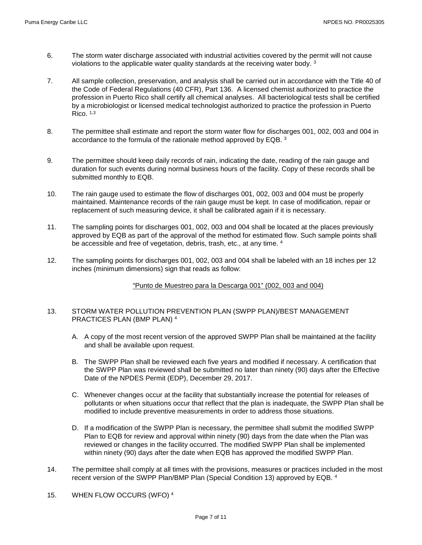- 6. The storm water discharge associated with industrial activities covered by the permit will not cause violations to the applicable water quality standards at the receiving water body. 3
- 7. All sample collection, preservation, and analysis shall be carried out in accordance with the Title 40 of the Code of Federal Regulations (40 CFR), Part 136. A licensed chemist authorized to practice the profession in Puerto Rico shall certify all chemical analyses. All bacteriological tests shall be certified by a microbiologist or licensed medical technologist authorized to practice the profession in Puerto Rico.  $1,3$
- 8. The permittee shall estimate and report the storm water flow for discharges 001, 002, 003 and 004 in accordance to the formula of the rationale method approved by EQB. 3
- 9. The permittee should keep daily records of rain, indicating the date, reading of the rain gauge and duration for such events during normal business hours of the facility. Copy of these records shall be submitted monthly to EQB.
- 10. The rain gauge used to estimate the flow of discharges 001, 002, 003 and 004 must be properly maintained. Maintenance records of the rain gauge must be kept. In case of modification, repair or replacement of such measuring device, it shall be calibrated again if it is necessary.
- 11. The sampling points for discharges 001, 002, 003 and 004 shall be located at the places previously approved by EQB as part of the approval of the method for estimated flow. Such sample points shall be accessible and free of vegetation, debris, trash, etc., at any time. 4
- 12. The sampling points for discharges 001, 002, 003 and 004 shall be labeled with an 18 inches per 12 inches (minimum dimensions) sign that reads as follow:

"Punto de Muestreo para la Descarga 001" (002, 003 and 004)

### 13. STORM WATER POLLUTION PREVENTION PLAN (SWPP PLAN)/BEST MANAGEMENT PRACTICES PLAN (BMP PLAN) 4

- A. A copy of the most recent version of the approved SWPP Plan shall be maintained at the facility and shall be available upon request.
- B. The SWPP Plan shall be reviewed each five years and modified if necessary. A certification that the SWPP Plan was reviewed shall be submitted no later than ninety (90) days after the Effective Date of the NPDES Permit (EDP), December 29, 2017.
- C. Whenever changes occur at the facility that substantially increase the potential for releases of pollutants or when situations occur that reflect that the plan is inadequate, the SWPP Plan shall be modified to include preventive measurements in order to address those situations.
- D. If a modification of the SWPP Plan is necessary, the permittee shall submit the modified SWPP Plan to EQB for review and approval within ninety (90) days from the date when the Plan was reviewed or changes in the facility occurred. The modified SWPP Plan shall be implemented within ninety (90) days after the date when EQB has approved the modified SWPP Plan.
- 14. The permittee shall comply at all times with the provisions, measures or practices included in the most recent version of the SWPP Plan/BMP Plan (Special Condition 13) approved by EQB. 4
- 15. WHEN FLOW OCCURS (WFO) 4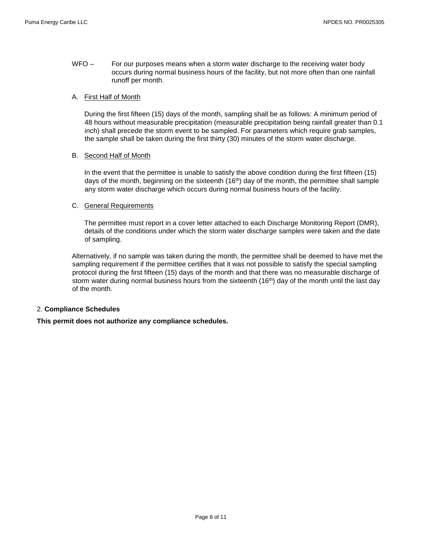WFO – For our purposes means when a storm water discharge to the receiving water body occurs during normal business hours of the facility, but not more often than one rainfall runoff per month.

### A. First Half of Month

During the first fifteen (15) days of the month, sampling shall be as follows: A minimum period of 48 hours without measurable precipitation (measurable precipitation being rainfall greater than 0.1 inch) shall precede the storm event to be sampled. For parameters which require grab samples, the sample shall be taken during the first thirty (30) minutes of the storm water discharge.

### B. Second Half of Month

In the event that the permittee is unable to satisfy the above condition during the first fifteen (15) days of the month, beginning on the sixteenth  $(16<sup>th</sup>)$  day of the month, the permittee shall sample any storm water discharge which occurs during normal business hours of the facility.

### C. General Requirements

The permittee must report in a cover letter attached to each Discharge Monitoring Report (DMR), details of the conditions under which the storm water discharge samples were taken and the date of sampling.

Alternatively, if no sample was taken during the month, the permittee shall be deemed to have met the sampling requirement if the permittee certifies that it was not possible to satisfy the special sampling protocol during the first fifteen (15) days of the month and that there was no measurable discharge of storm water during normal business hours from the sixteenth (16<sup>th</sup>) day of the month until the last day of the month.

### 2. **Compliance Schedules**

**This permit does not authorize any compliance schedules.**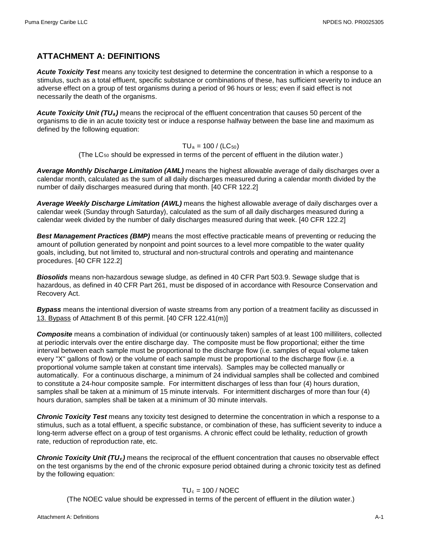# **ATTACHMENT A: DEFINITIONS**

*Acute Toxicity Test* means any toxicity test designed to determine the concentration in which a response to a stimulus, such as a total effluent, specific substance or combinations of these, has sufficient severity to induce an adverse effect on a group of test organisms during a period of 96 hours or less; even if said effect is not necessarily the death of the organisms.

*Acute Toxicity Unit (TUa)* means the reciprocal of the effluent concentration that causes 50 percent of the organisms to die in an acute toxicity test or induce a response halfway between the base line and maximum as defined by the following equation:

### $TU_a = 100 / (LC_{50})$

(The  $LC_{50}$  should be expressed in terms of the percent of effluent in the dilution water.)

*Average Monthly Discharge Limitation (AML)* means the highest allowable average of daily discharges over a calendar month, calculated as the sum of all daily discharges measured during a calendar month divided by the number of daily discharges measured during that month. [40 CFR 122.2]

*Average Weekly Discharge Limitation (AWL)* means the highest allowable average of daily discharges over a calendar week (Sunday through Saturday), calculated as the sum of all daily discharges measured during a calendar week divided by the number of daily discharges measured during that week. [40 CFR 122.2]

*Best Management Practices (BMP)* means the most effective practicable means of preventing or reducing the amount of pollution generated by nonpoint and point sources to a level more compatible to the water quality goals, including, but not limited to, structural and non-structural controls and operating and maintenance procedures. [40 CFR 122.2]

*Biosolids* means non-hazardous sewage sludge, as defined in 40 CFR Part 503.9. Sewage sludge that is hazardous, as defined in 40 CFR Part 261, must be disposed of in accordance with Resource Conservation and Recovery Act.

*Bypass* means the intentional diversion of waste streams from any portion of a treatment facility as discussed in 13. Bypass of Attachment B of this permit. [40 CFR 122.41(m)]

*Composite* means a combination of individual (or continuously taken) samples of at least 100 milliliters, collected at periodic intervals over the entire discharge day. The composite must be flow proportional; either the time interval between each sample must be proportional to the discharge flow (i.e. samples of equal volume taken every "X" gallons of flow) or the volume of each sample must be proportional to the discharge flow (i.e. a proportional volume sample taken at constant time intervals). Samples may be collected manually or automatically. For a continuous discharge, a minimum of 24 individual samples shall be collected and combined to constitute a 24-hour composite sample. For intermittent discharges of less than four (4) hours duration, samples shall be taken at a minimum of 15 minute intervals. For intermittent discharges of more than four (4) hours duration, samples shall be taken at a minimum of 30 minute intervals.

*Chronic Toxicity Test* means any toxicity test designed to determine the concentration in which a response to a stimulus, such as a total effluent, a specific substance, or combination of these, has sufficient severity to induce a long-term adverse effect on a group of test organisms. A chronic effect could be lethality, reduction of growth rate, reduction of reproduction rate, etc.

*Chronic Toxicity Unit (TUc)* means the reciprocal of the effluent concentration that causes no observable effect on the test organisms by the end of the chronic exposure period obtained during a chronic toxicity test as defined by the following equation:

## $TU_c = 100 / NOEC$

(The NOEC value should be expressed in terms of the percent of effluent in the dilution water.)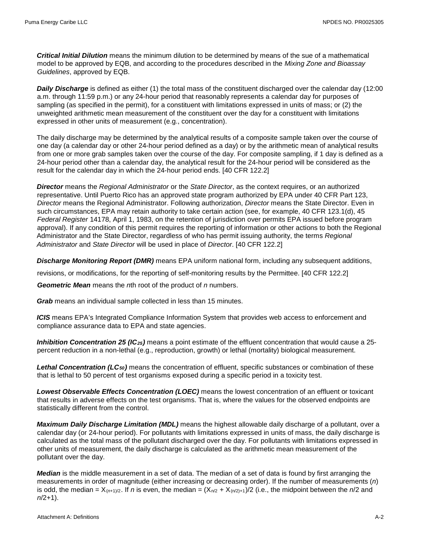*Critical Initial Dilution* means the minimum dilution to be determined by means of the sue of a mathematical model to be approved by EQB, and according to the procedures described in the *Mixing Zone and Bioassay Guidelines*, approved by EQB.

*Daily Discharge* is defined as either (1) the total mass of the constituent discharged over the calendar day (12:00 a.m. through 11:59 p.m.) or any 24-hour period that reasonably represents a calendar day for purposes of sampling (as specified in the permit), for a constituent with limitations expressed in units of mass; or (2) the unweighted arithmetic mean measurement of the constituent over the day for a constituent with limitations expressed in other units of measurement (e.g., concentration).

The daily discharge may be determined by the analytical results of a composite sample taken over the course of one day (a calendar day or other 24-hour period defined as a day) or by the arithmetic mean of analytical results from one or more grab samples taken over the course of the day. For composite sampling, if 1 day is defined as a 24-hour period other than a calendar day, the analytical result for the 24-hour period will be considered as the result for the calendar day in which the 24-hour period ends. [40 CFR 122.2]

*Director* means the *Regional Administrator* or the *State Director*, as the context requires, or an authorized representative. Until Puerto Rico has an approved state program authorized by EPA under 40 CFR Part 123, *Director* means the Regional Administrator. Following authorization, *Director* means the State Director. Even in such circumstances, EPA may retain authority to take certain action (see, for example, 40 CFR 123.1(d), 45 *Federal Register* 14178, April 1, 1983, on the retention of jurisdiction over permits EPA issued before program approval). If any condition of this permit requires the reporting of information or other actions to both the Regional Administrator and the State Director, regardless of who has permit issuing authority, the terms *Regional Administrator* and *State Director* will be used in place of *Director*. [40 CFR 122.2]

*Discharge Monitoring Report (DMR)* means EPA uniform national form, including any subsequent additions,

revisions, or modifications, for the reporting of self-monitoring results by the Permittee. [40 CFR 122.2]

*Geometric Mean* means the *n*th root of the product of *n* numbers.

*Grab* means an individual sample collected in less than 15 minutes.

*ICIS* means EPA's Integrated Compliance Information System that provides web access to enforcement and compliance assurance data to EPA and state agencies.

*Inhibition Concentration 25 (IC25)* means a point estimate of the effluent concentration that would cause a 25 percent reduction in a non-lethal (e.g., reproduction, growth) or lethal (mortality) biological measurement.

*Lethal Concentration (LC50)* means the concentration of effluent, specific substances or combination of these that is lethal to 50 percent of test organisms exposed during a specific period in a toxicity test.

*Lowest Observable Effects Concentration (LOEC)* means the lowest concentration of an effluent or toxicant that results in adverse effects on the test organisms. That is, where the values for the observed endpoints are statistically different from the control.

*Maximum Daily Discharge Limitation (MDL)* means the highest allowable daily discharge of a pollutant, over a calendar day (or 24-hour period). For pollutants with limitations expressed in units of mass, the daily discharge is calculated as the total mass of the pollutant discharged over the day. For pollutants with limitations expressed in other units of measurement, the daily discharge is calculated as the arithmetic mean measurement of the pollutant over the day.

*Median* is the middle measurement in a set of data. The median of a set of data is found by first arranging the measurements in order of magnitude (either increasing or decreasing order). If the number of measurements (*n*) is odd, the median =  $X_{(n+1)/2}$ . If *n* is even, the median =  $(X_{n/2} + X_{(n/2)+1})/2$  (i.e., the midpoint between the *n*/2 and *n*/2+1).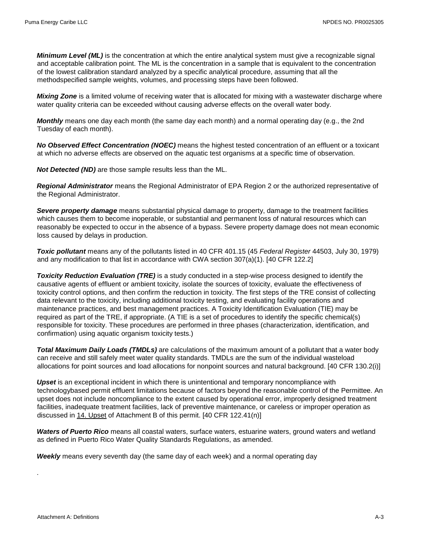*Minimum Level (ML)* is the concentration at which the entire analytical system must give a recognizable signal and acceptable calibration point. The ML is the concentration in a sample that is equivalent to the concentration of the lowest calibration standard analyzed by a specific analytical procedure, assuming that all the methodspecified sample weights, volumes, and processing steps have been followed.

*Mixing Zone* is a limited volume of receiving water that is allocated for mixing with a wastewater discharge where water quality criteria can be exceeded without causing adverse effects on the overall water body.

*Monthly* means one day each month (the same day each month) and a normal operating day (e.g., the 2nd Tuesday of each month).

*No Observed Effect Concentration (NOEC)* means the highest tested concentration of an effluent or a toxicant at which no adverse effects are observed on the aquatic test organisms at a specific time of observation.

*Not Detected (ND)* are those sample results less than the ML.

*Regional Administrator* means the Regional Administrator of EPA Region 2 or the authorized representative of the Regional Administrator.

*Severe property damage* means substantial physical damage to property, damage to the treatment facilities which causes them to become inoperable, or substantial and permanent loss of natural resources which can reasonably be expected to occur in the absence of a bypass. Severe property damage does not mean economic loss caused by delays in production.

*Toxic pollutant* means any of the pollutants listed in 40 CFR 401.15 (45 *Federal Register* 44503, July 30, 1979) and any modification to that list in accordance with CWA section 307(a)(1). [40 CFR 122.2]

*Toxicity Reduction Evaluation (TRE)* is a study conducted in a step-wise process designed to identify the causative agents of effluent or ambient toxicity, isolate the sources of toxicity, evaluate the effectiveness of toxicity control options, and then confirm the reduction in toxicity. The first steps of the TRE consist of collecting data relevant to the toxicity, including additional toxicity testing, and evaluating facility operations and maintenance practices, and best management practices. A Toxicity Identification Evaluation (TIE) may be required as part of the TRE, if appropriate. (A TIE is a set of procedures to identify the specific chemical(s) responsible for toxicity. These procedures are performed in three phases (characterization, identification, and confirmation) using aquatic organism toxicity tests.)

*Total Maximum Daily Loads (TMDLs)* are calculations of the maximum amount of a pollutant that a water body can receive and still safely meet water quality standards. TMDLs are the sum of the individual wasteload allocations for point sources and load allocations for nonpoint sources and natural background. [40 CFR 130.2(i)]

*Upset* is an exceptional incident in which there is unintentional and temporary noncompliance with technologybased permit effluent limitations because of factors beyond the reasonable control of the Permittee. An upset does not include noncompliance to the extent caused by operational error, improperly designed treatment facilities, inadequate treatment facilities, lack of preventive maintenance, or careless or improper operation as discussed in 14. Upset of Attachment B of this permit. [40 CFR 122.41(n)]

*Waters of Puerto Rico* means all coastal waters, surface waters, estuarine waters, ground waters and wetland as defined in Puerto Rico Water Quality Standards Regulations, as amended.

*Weekly* means every seventh day (the same day of each week) and a normal operating day

.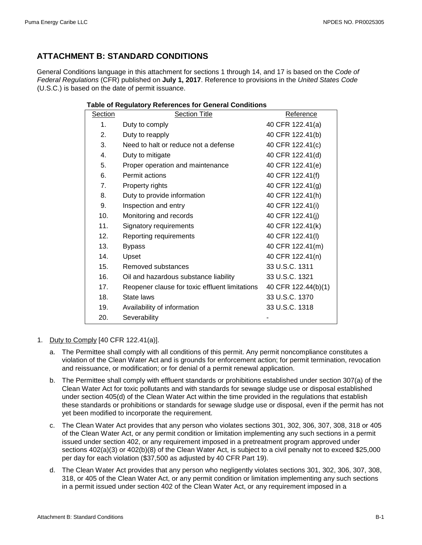# **ATTACHMENT B: STANDARD CONDITIONS**

General Conditions language in this attachment for sections 1 through 14, and 17 is based on the *Code of Federal Regulations* (CFR) published on **July 1, 2017**. Reference to provisions in the *United States Code* (U.S.C.) is based on the date of permit issuance.

| Section       | <b>Section Title</b>                           | Reference           |
|---------------|------------------------------------------------|---------------------|
| $\mathbf 1$ . | Duty to comply                                 | 40 CFR 122.41(a)    |
| 2.            | Duty to reapply                                | 40 CFR 122.41(b)    |
| 3.            | Need to halt or reduce not a defense           | 40 CFR 122.41(c)    |
| 4.            | Duty to mitigate                               | 40 CFR 122.41(d)    |
| 5.            | Proper operation and maintenance               | 40 CFR 122.41(e)    |
| 6.            | Permit actions                                 | 40 CFR 122.41(f)    |
| 7.            | Property rights                                | 40 CFR 122.41(g)    |
| 8.            | Duty to provide information                    | 40 CFR 122.41(h)    |
| 9.            | Inspection and entry                           | 40 CFR 122.41(i)    |
| 10.           | Monitoring and records                         | 40 CFR 122.41(j)    |
| 11.           | Signatory requirements                         | 40 CFR 122.41(k)    |
| 12.           | Reporting requirements                         | 40 CFR 122.41(I)    |
| 13.           | <b>Bypass</b>                                  | 40 CFR 122.41(m)    |
| 14.           | Upset                                          | 40 CFR 122.41(n)    |
| 15.           | Removed substances                             | 33 U.S.C. 1311      |
| 16.           | Oil and hazardous substance liability          | 33 U.S.C. 1321      |
| 17.           | Reopener clause for toxic effluent limitations | 40 CFR 122.44(b)(1) |
| 18.           | State laws                                     | 33 U.S.C. 1370      |
| 19.           | Availability of information                    | 33 U.S.C. 1318      |
| 20.           | Severability                                   |                     |

### **Table of Regulatory References for General Conditions**

### 1. Duty to Comply [40 CFR 122.41(a)].

- a. The Permittee shall comply with all conditions of this permit. Any permit noncompliance constitutes a violation of the Clean Water Act and is grounds for enforcement action; for permit termination, revocation and reissuance, or modification; or for denial of a permit renewal application.
- b. The Permittee shall comply with effluent standards or prohibitions established under section 307(a) of the Clean Water Act for toxic pollutants and with standards for sewage sludge use or disposal established under section 405(d) of the Clean Water Act within the time provided in the regulations that establish these standards or prohibitions or standards for sewage sludge use or disposal, even if the permit has not yet been modified to incorporate the requirement.
- c. The Clean Water Act provides that any person who violates sections 301, 302, 306, 307, 308, 318 or 405 of the Clean Water Act, or any permit condition or limitation implementing any such sections in a permit issued under section 402, or any requirement imposed in a pretreatment program approved under sections 402(a)(3) or 402(b)(8) of the Clean Water Act, is subject to a civil penalty not to exceed \$25,000 per day for each violation (\$37,500 as adjusted by 40 CFR Part 19).
- d. The Clean Water Act provides that any person who negligently violates sections 301, 302, 306, 307, 308, 318, or 405 of the Clean Water Act, or any permit condition or limitation implementing any such sections in a permit issued under section 402 of the Clean Water Act, or any requirement imposed in a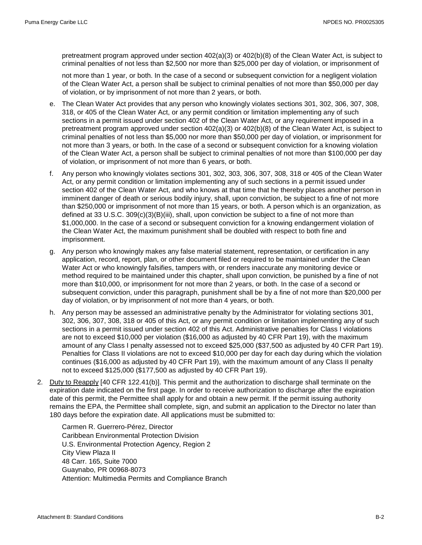pretreatment program approved under section 402(a)(3) or 402(b)(8) of the Clean Water Act, is subject to criminal penalties of not less than \$2,500 nor more than \$25,000 per day of violation, or imprisonment of

not more than 1 year, or both. In the case of a second or subsequent conviction for a negligent violation of the Clean Water Act, a person shall be subject to criminal penalties of not more than \$50,000 per day of violation, or by imprisonment of not more than 2 years, or both.

- e. The Clean Water Act provides that any person who knowingly violates sections 301, 302, 306, 307, 308, 318, or 405 of the Clean Water Act, or any permit condition or limitation implementing any of such sections in a permit issued under section 402 of the Clean Water Act, or any requirement imposed in a pretreatment program approved under section 402(a)(3) or 402(b)(8) of the Clean Water Act, is subject to criminal penalties of not less than \$5,000 nor more than \$50,000 per day of violation, or imprisonment for not more than 3 years, or both. In the case of a second or subsequent conviction for a knowing violation of the Clean Water Act, a person shall be subject to criminal penalties of not more than \$100,000 per day of violation, or imprisonment of not more than 6 years, or both.
- f. Any person who knowingly violates sections 301, 302, 303, 306, 307, 308, 318 or 405 of the Clean Water Act, or any permit condition or limitation implementing any of such sections in a permit issued under section 402 of the Clean Water Act, and who knows at that time that he thereby places another person in imminent danger of death or serious bodily injury, shall, upon conviction, be subject to a fine of not more than \$250,000 or imprisonment of not more than 15 years, or both. A person which is an organization, as defined at 33 U.S.C. 309(c)(3)(B)(iii), shall, upon conviction be subject to a fine of not more than \$1,000,000. In the case of a second or subsequent conviction for a knowing endangerment violation of the Clean Water Act, the maximum punishment shall be doubled with respect to both fine and imprisonment.
- g. Any person who knowingly makes any false material statement, representation, or certification in any application, record, report, plan, or other document filed or required to be maintained under the Clean Water Act or who knowingly falsifies, tampers with, or renders inaccurate any monitoring device or method required to be maintained under this chapter, shall upon conviction, be punished by a fine of not more than \$10,000, or imprisonment for not more than 2 years, or both. In the case of a second or subsequent conviction, under this paragraph, punishment shall be by a fine of not more than \$20,000 per day of violation, or by imprisonment of not more than 4 years, or both.
- h. Any person may be assessed an administrative penalty by the Administrator for violating sections 301, 302, 306, 307, 308, 318 or 405 of this Act, or any permit condition or limitation implementing any of such sections in a permit issued under section 402 of this Act. Administrative penalties for Class I violations are not to exceed \$10,000 per violation (\$16,000 as adjusted by 40 CFR Part 19), with the maximum amount of any Class I penalty assessed not to exceed \$25,000 (\$37,500 as adjusted by 40 CFR Part 19). Penalties for Class II violations are not to exceed \$10,000 per day for each day during which the violation continues (\$16,000 as adjusted by 40 CFR Part 19), with the maximum amount of any Class II penalty not to exceed \$125,000 (\$177,500 as adjusted by 40 CFR Part 19).
- 2. Duty to Reapply [40 CFR 122.41(b)]. This permit and the authorization to discharge shall terminate on the expiration date indicated on the first page. In order to receive authorization to discharge after the expiration date of this permit, the Permittee shall apply for and obtain a new permit. If the permit issuing authority remains the EPA, the Permittee shall complete, sign, and submit an application to the Director no later than 180 days before the expiration date. All applications must be submitted to:

Carmen R. Guerrero-Pérez, Director Caribbean Environmental Protection Division U.S. Environmental Protection Agency, Region 2 City View Plaza II 48 Carr. 165, Suite 7000 Guaynabo, PR 00968-8073 Attention: Multimedia Permits and Compliance Branch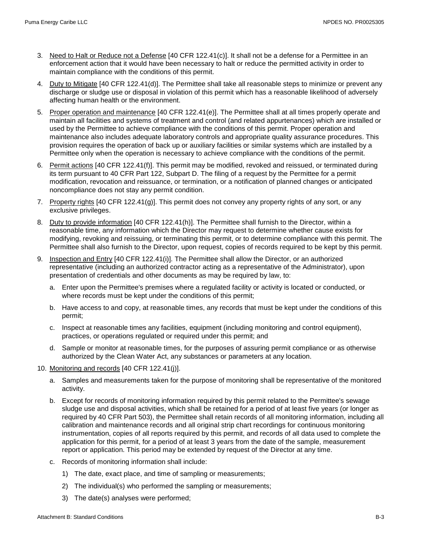- 3. Need to Halt or Reduce not a Defense [40 CFR 122.41(c)]. It shall not be a defense for a Permittee in an enforcement action that it would have been necessary to halt or reduce the permitted activity in order to maintain compliance with the conditions of this permit.
- 4. Duty to Mitigate [40 CFR 122.41(d)]. The Permittee shall take all reasonable steps to minimize or prevent any discharge or sludge use or disposal in violation of this permit which has a reasonable likelihood of adversely affecting human health or the environment.
- 5. Proper operation and maintenance [40 CFR 122.41(e)]. The Permittee shall at all times properly operate and maintain all facilities and systems of treatment and control (and related appurtenances) which are installed or used by the Permittee to achieve compliance with the conditions of this permit. Proper operation and maintenance also includes adequate laboratory controls and appropriate quality assurance procedures. This provision requires the operation of back up or auxiliary facilities or similar systems which are installed by a Permittee only when the operation is necessary to achieve compliance with the conditions of the permit.
- 6. Permit actions [40 CFR 122.41(f)]. This permit may be modified, revoked and reissued, or terminated during its term pursuant to 40 CFR Part 122, Subpart D. The filing of a request by the Permittee for a permit modification, revocation and reissuance, or termination, or a notification of planned changes or anticipated noncompliance does not stay any permit condition.
- 7. Property rights [40 CFR 122.41(g)]. This permit does not convey any property rights of any sort, or any exclusive privileges.
- 8. Duty to provide information [40 CFR 122.41(h)]. The Permittee shall furnish to the Director, within a reasonable time, any information which the Director may request to determine whether cause exists for modifying, revoking and reissuing, or terminating this permit, or to determine compliance with this permit. The Permittee shall also furnish to the Director, upon request, copies of records required to be kept by this permit.
- 9. Inspection and Entry [40 CFR 122.41(i)]. The Permittee shall allow the Director, or an authorized representative (including an authorized contractor acting as a representative of the Administrator), upon presentation of credentials and other documents as may be required by law, to:
	- a. Enter upon the Permittee's premises where a regulated facility or activity is located or conducted, or where records must be kept under the conditions of this permit;
	- b. Have access to and copy, at reasonable times, any records that must be kept under the conditions of this permit;
	- c. Inspect at reasonable times any facilities, equipment (including monitoring and control equipment), practices, or operations regulated or required under this permit; and
	- d. Sample or monitor at reasonable times, for the purposes of assuring permit compliance or as otherwise authorized by the Clean Water Act, any substances or parameters at any location.
- 10. Monitoring and records [40 CFR 122.41(j)].
	- a. Samples and measurements taken for the purpose of monitoring shall be representative of the monitored activity.
	- b. Except for records of monitoring information required by this permit related to the Permittee's sewage sludge use and disposal activities, which shall be retained for a period of at least five years (or longer as required by 40 CFR Part 503), the Permittee shall retain records of all monitoring information, including all calibration and maintenance records and all original strip chart recordings for continuous monitoring instrumentation, copies of all reports required by this permit, and records of all data used to complete the application for this permit, for a period of at least 3 years from the date of the sample, measurement report or application. This period may be extended by request of the Director at any time.
	- c. Records of monitoring information shall include:
		- 1) The date, exact place, and time of sampling or measurements;
		- 2) The individual(s) who performed the sampling or measurements;
		- 3) The date(s) analyses were performed;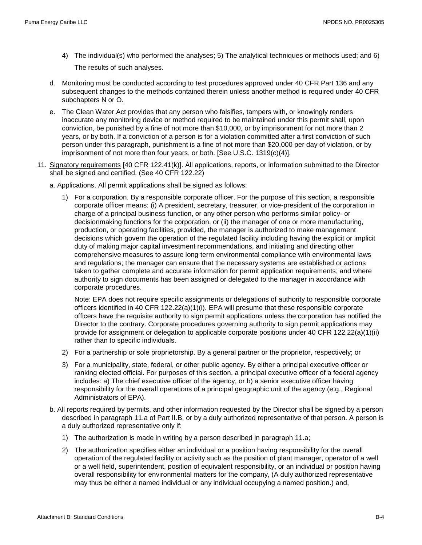- 4) The individual(s) who performed the analyses; 5) The analytical techniques or methods used; and 6) The results of such analyses.
- d. Monitoring must be conducted according to test procedures approved under 40 CFR Part 136 and any subsequent changes to the methods contained therein unless another method is required under 40 CFR subchapters N or O.
- e. The Clean Water Act provides that any person who falsifies, tampers with, or knowingly renders inaccurate any monitoring device or method required to be maintained under this permit shall, upon conviction, be punished by a fine of not more than \$10,000, or by imprisonment for not more than 2 years, or by both. If a conviction of a person is for a violation committed after a first conviction of such person under this paragraph, punishment is a fine of not more than \$20,000 per day of violation, or by imprisonment of not more than four years, or both. [See U.S.C. 1319(c)(4)].
- 11. Signatory requirements [40 CFR 122.41(k)]. All applications, reports, or information submitted to the Director shall be signed and certified. (See 40 CFR 122.22)
	- a. Applications. All permit applications shall be signed as follows:
		- 1) For a corporation. By a responsible corporate officer. For the purpose of this section, a responsible corporate officer means: (i) A president, secretary, treasurer, or vice-president of the corporation in charge of a principal business function, or any other person who performs similar policy- or decisionmaking functions for the corporation, or (ii) the manager of one or more manufacturing, production, or operating facilities, provided, the manager is authorized to make management decisions which govern the operation of the regulated facility including having the explicit or implicit duty of making major capital investment recommendations, and initiating and directing other comprehensive measures to assure long term environmental compliance with environmental laws and regulations; the manager can ensure that the necessary systems are established or actions taken to gather complete and accurate information for permit application requirements; and where authority to sign documents has been assigned or delegated to the manager in accordance with corporate procedures.

Note: EPA does not require specific assignments or delegations of authority to responsible corporate officers identified in 40 CFR  $122.22(a)(1)(i)$ . EPA will presume that these responsible corporate officers have the requisite authority to sign permit applications unless the corporation has notified the Director to the contrary. Corporate procedures governing authority to sign permit applications may provide for assignment or delegation to applicable corporate positions under 40 CFR 122.22(a)(1)(ii) rather than to specific individuals.

- 2) For a partnership or sole proprietorship. By a general partner or the proprietor, respectively; or
- 3) For a municipality, state, federal, or other public agency. By either a principal executive officer or ranking elected official. For purposes of this section, a principal executive officer of a federal agency includes: a) The chief executive officer of the agency, or b) a senior executive officer having responsibility for the overall operations of a principal geographic unit of the agency (e.g., Regional Administrators of EPA).
- b. All reports required by permits, and other information requested by the Director shall be signed by a person described in paragraph 11.a of Part II.B, or by a duly authorized representative of that person. A person is a duly authorized representative only if:
	- 1) The authorization is made in writing by a person described in paragraph 11.a;
	- 2) The authorization specifies either an individual or a position having responsibility for the overall operation of the regulated facility or activity such as the position of plant manager, operator of a well or a well field, superintendent, position of equivalent responsibility, or an individual or position having overall responsibility for environmental matters for the company, (A duly authorized representative may thus be either a named individual or any individual occupying a named position.) and,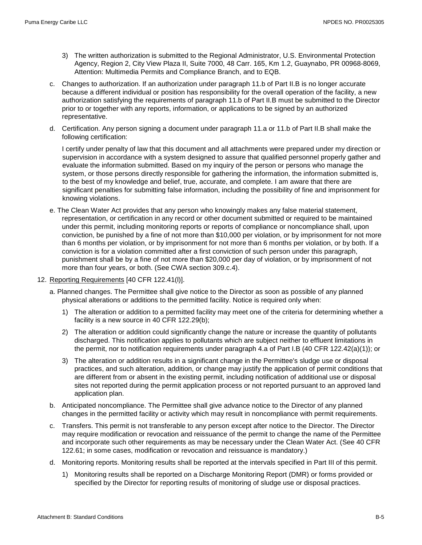- 3) The written authorization is submitted to the Regional Administrator, U.S. Environmental Protection Agency, Region 2, City View Plaza II, Suite 7000, 48 Carr. 165, Km 1.2, Guaynabo, PR 00968-8069, Attention: Multimedia Permits and Compliance Branch, and to EQB.
- c. Changes to authorization. If an authorization under paragraph 11.b of Part II.B is no longer accurate because a different individual or position has responsibility for the overall operation of the facility, a new authorization satisfying the requirements of paragraph 11.b of Part II.B must be submitted to the Director prior to or together with any reports, information, or applications to be signed by an authorized representative.
- d. Certification. Any person signing a document under paragraph 11.a or 11.b of Part II.B shall make the following certification:

I certify under penalty of law that this document and all attachments were prepared under my direction or supervision in accordance with a system designed to assure that qualified personnel properly gather and evaluate the information submitted. Based on my inquiry of the person or persons who manage the system, or those persons directly responsible for gathering the information, the information submitted is, to the best of my knowledge and belief, true, accurate, and complete. I am aware that there are significant penalties for submitting false information, including the possibility of fine and imprisonment for knowing violations.

- e. The Clean Water Act provides that any person who knowingly makes any false material statement, representation, or certification in any record or other document submitted or required to be maintained under this permit, including monitoring reports or reports of compliance or noncompliance shall, upon conviction, be punished by a fine of not more than \$10,000 per violation, or by imprisonment for not more than 6 months per violation, or by imprisonment for not more than 6 months per violation, or by both. If a conviction is for a violation committed after a first conviction of such person under this paragraph, punishment shall be by a fine of not more than \$20,000 per day of violation, or by imprisonment of not more than four years, or both. (See CWA section 309.c.4).
- 12. Reporting Requirements [40 CFR 122.41(I)].
	- a. Planned changes. The Permittee shall give notice to the Director as soon as possible of any planned physical alterations or additions to the permitted facility. Notice is required only when:
		- 1) The alteration or addition to a permitted facility may meet one of the criteria for determining whether a facility is a new source in 40 CFR 122.29(b);
		- 2) The alteration or addition could significantly change the nature or increase the quantity of pollutants discharged. This notification applies to pollutants which are subject neither to effluent limitations in the permit, nor to notification requirements under paragraph 4.a of Part I.B (40 CFR 122.42(a)(1)); or
		- 3) The alteration or addition results in a significant change in the Permittee's sludge use or disposal practices, and such alteration, addition, or change may justify the application of permit conditions that are different from or absent in the existing permit, including notification of additional use or disposal sites not reported during the permit application process or not reported pursuant to an approved land application plan.
	- b. Anticipated noncompliance. The Permittee shall give advance notice to the Director of any planned changes in the permitted facility or activity which may result in noncompliance with permit requirements.
	- c. Transfers. This permit is not transferable to any person except after notice to the Director. The Director may require modification or revocation and reissuance of the permit to change the name of the Permittee and incorporate such other requirements as may be necessary under the Clean Water Act. (See 40 CFR 122.61; in some cases, modification or revocation and reissuance is mandatory.)
	- d. Monitoring reports. Monitoring results shall be reported at the intervals specified in Part III of this permit.
		- 1) Monitoring results shall be reported on a Discharge Monitoring Report (DMR) or forms provided or specified by the Director for reporting results of monitoring of sludge use or disposal practices.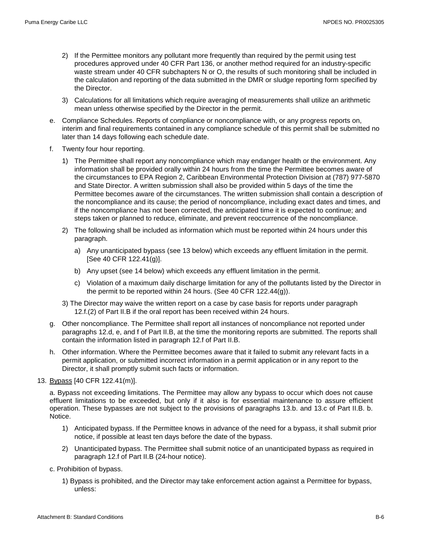- 2) If the Permittee monitors any pollutant more frequently than required by the permit using test procedures approved under 40 CFR Part 136, or another method required for an industry-specific waste stream under 40 CFR subchapters N or O, the results of such monitoring shall be included in the calculation and reporting of the data submitted in the DMR or sludge reporting form specified by the Director.
- 3) Calculations for all limitations which require averaging of measurements shall utilize an arithmetic mean unless otherwise specified by the Director in the permit.
- e. Compliance Schedules. Reports of compliance or noncompliance with, or any progress reports on, interim and final requirements contained in any compliance schedule of this permit shall be submitted no later than 14 days following each schedule date.
- f. Twenty four hour reporting.
	- 1) The Permittee shall report any noncompliance which may endanger health or the environment. Any information shall be provided orally within 24 hours from the time the Permittee becomes aware of the circumstances to EPA Region 2, Caribbean Environmental Protection Division at (787) 977-5870 and State Director. A written submission shall also be provided within 5 days of the time the Permittee becomes aware of the circumstances. The written submission shall contain a description of the noncompliance and its cause; the period of noncompliance, including exact dates and times, and if the noncompliance has not been corrected, the anticipated time it is expected to continue; and steps taken or planned to reduce, eliminate, and prevent reoccurrence of the noncompliance.
	- 2) The following shall be included as information which must be reported within 24 hours under this paragraph.
		- a) Any unanticipated bypass (see 13 below) which exceeds any effluent limitation in the permit. [See 40 CFR 122.41(g)].
		- b) Any upset (see 14 below) which exceeds any effluent limitation in the permit.
		- c) Violation of a maximum daily discharge limitation for any of the pollutants listed by the Director in the permit to be reported within 24 hours. (See 40 CFR 122.44(g)).
	- 3) The Director may waive the written report on a case by case basis for reports under paragraph 12.f.(2) of Part II.B if the oral report has been received within 24 hours.
- g. Other noncompliance. The Permittee shall report all instances of noncompliance not reported under paragraphs 12.d, e, and f of Part II.B, at the time the monitoring reports are submitted. The reports shall contain the information listed in paragraph 12.f of Part II.B.
- h. Other information. Where the Permittee becomes aware that it failed to submit any relevant facts in a permit application, or submitted incorrect information in a permit application or in any report to the Director, it shall promptly submit such facts or information.
- 13. Bypass [40 CFR 122.41(m)].

a. Bypass not exceeding limitations. The Permittee may allow any bypass to occur which does not cause effluent limitations to be exceeded, but only if it also is for essential maintenance to assure efficient operation. These bypasses are not subject to the provisions of paragraphs 13.b. and 13.c of Part II.B. b. Notice.

- 1) Anticipated bypass. If the Permittee knows in advance of the need for a bypass, it shall submit prior notice, if possible at least ten days before the date of the bypass.
- 2) Unanticipated bypass. The Permittee shall submit notice of an unanticipated bypass as required in paragraph 12.f of Part II.B (24-hour notice).
- c. Prohibition of bypass.
	- 1) Bypass is prohibited, and the Director may take enforcement action against a Permittee for bypass, unless: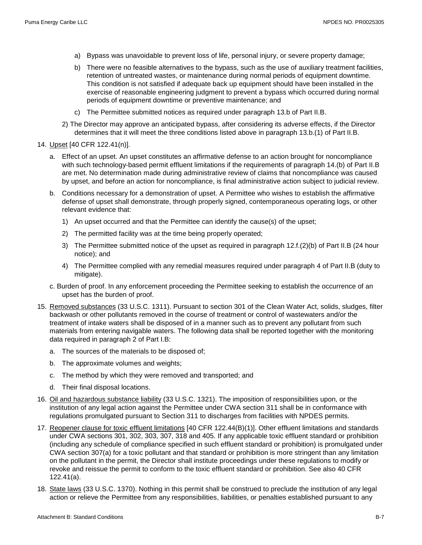- a) Bypass was unavoidable to prevent loss of life, personal injury, or severe property damage;
- b) There were no feasible alternatives to the bypass, such as the use of auxiliary treatment facilities, retention of untreated wastes, or maintenance during normal periods of equipment downtime. This condition is not satisfied if adequate back up equipment should have been installed in the exercise of reasonable engineering judgment to prevent a bypass which occurred during normal periods of equipment downtime or preventive maintenance; and
- c) The Permittee submitted notices as required under paragraph 13.b of Part II.B.
- 2) The Director may approve an anticipated bypass, after considering its adverse effects, if the Director determines that it will meet the three conditions listed above in paragraph 13.b.(1) of Part II.B.
- 14. Upset [40 CFR 122.41(n)].
	- a. Effect of an upset. An upset constitutes an affirmative defense to an action brought for noncompliance with such technology-based permit effluent limitations if the requirements of paragraph 14.(b) of Part II.B are met. No determination made during administrative review of claims that noncompliance was caused by upset, and before an action for noncompliance, is final administrative action subject to judicial review.
	- b. Conditions necessary for a demonstration of upset. A Permittee who wishes to establish the affirmative defense of upset shall demonstrate, through properly signed, contemporaneous operating logs, or other relevant evidence that:
		- 1) An upset occurred and that the Permittee can identify the cause(s) of the upset;
		- 2) The permitted facility was at the time being properly operated;
		- 3) The Permittee submitted notice of the upset as required in paragraph 12.f.(2)(b) of Part II.B (24 hour notice); and
		- 4) The Permittee complied with any remedial measures required under paragraph 4 of Part II.B (duty to mitigate).
	- c. Burden of proof. In any enforcement proceeding the Permittee seeking to establish the occurrence of an upset has the burden of proof.
- 15. Removed substances (33 U.S.C. 1311). Pursuant to section 301 of the Clean Water Act, solids, sludges, filter backwash or other pollutants removed in the course of treatment or control of wastewaters and/or the treatment of intake waters shall be disposed of in a manner such as to prevent any pollutant from such materials from entering navigable waters. The following data shall be reported together with the monitoring data required in paragraph 2 of Part I.B:
	- a. The sources of the materials to be disposed of;
	- b. The approximate volumes and weights;
	- c. The method by which they were removed and transported; and
	- d. Their final disposal locations.
- 16. Oil and hazardous substance liability (33 U.S.C. 1321). The imposition of responsibilities upon, or the institution of any legal action against the Permittee under CWA section 311 shall be in conformance with regulations promulgated pursuant to Section 311 to discharges from facilities with NPDES permits.
- 17. Reopener clause for toxic effluent limitations [40 CFR 122.44(B)(1)]. Other effluent limitations and standards under CWA sections 301, 302, 303, 307, 318 and 405. If any applicable toxic effluent standard or prohibition (including any schedule of compliance specified in such effluent standard or prohibition) is promulgated under CWA section 307(a) for a toxic pollutant and that standard or prohibition is more stringent than any limitation on the pollutant in the permit, the Director shall institute proceedings under these regulations to modify or revoke and reissue the permit to conform to the toxic effluent standard or prohibition. See also 40 CFR 122.41(a).
- 18. State laws (33 U.S.C. 1370). Nothing in this permit shall be construed to preclude the institution of any legal action or relieve the Permittee from any responsibilities, liabilities, or penalties established pursuant to any